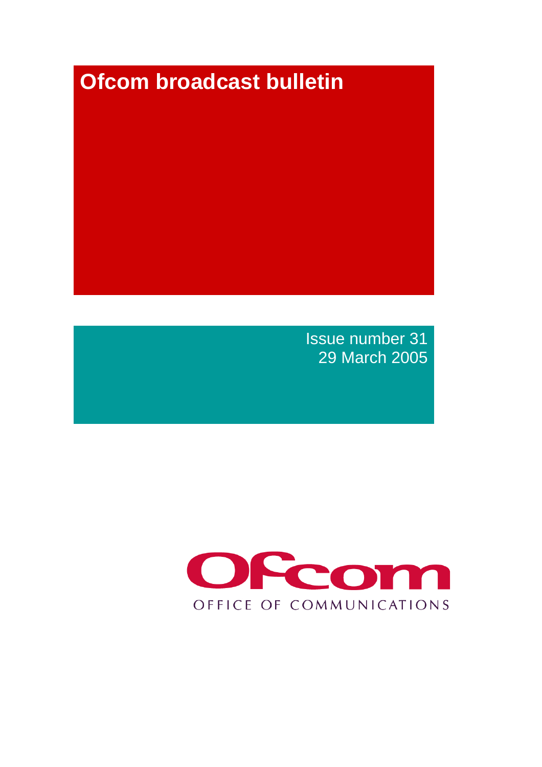# **Ofcom broadcast bulletin**

Issue number 31 29 March 2005

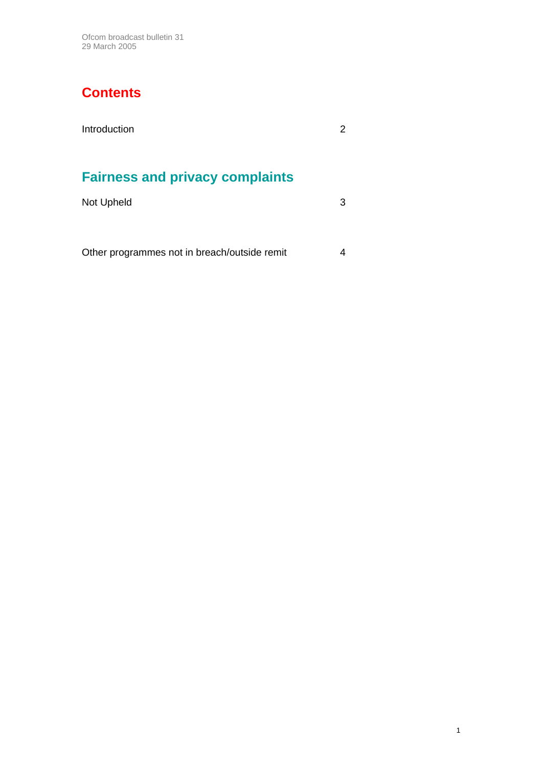Ofcom broadcast bulletin 31 29 March 2005

#### **Contents**

## **Fairness and privacy complaints**

| Not Upheld | 3 |
|------------|---|
|            |   |

| Other programmes not in breach/outside remit |  |
|----------------------------------------------|--|
|----------------------------------------------|--|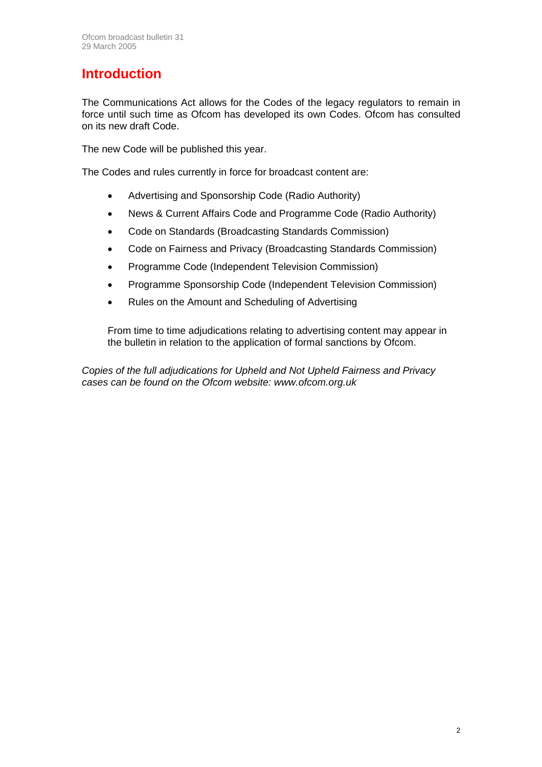#### **Introduction**

The Communications Act allows for the Codes of the legacy regulators to remain in force until such time as Ofcom has developed its own Codes. Ofcom has consulted on its new draft Code.

The new Code will be published this year.

The Codes and rules currently in force for broadcast content are:

- Advertising and Sponsorship Code (Radio Authority)
- News & Current Affairs Code and Programme Code (Radio Authority)
- Code on Standards (Broadcasting Standards Commission)
- Code on Fairness and Privacy (Broadcasting Standards Commission)
- Programme Code (Independent Television Commission)
- Programme Sponsorship Code (Independent Television Commission)
- Rules on the Amount and Scheduling of Advertising

From time to time adjudications relating to advertising content may appear in the bulletin in relation to the application of formal sanctions by Ofcom.

*Copies of the full adjudications for Upheld and Not Upheld Fairness and Privacy cases can be found on the Ofcom website: www.ofcom.org.uk*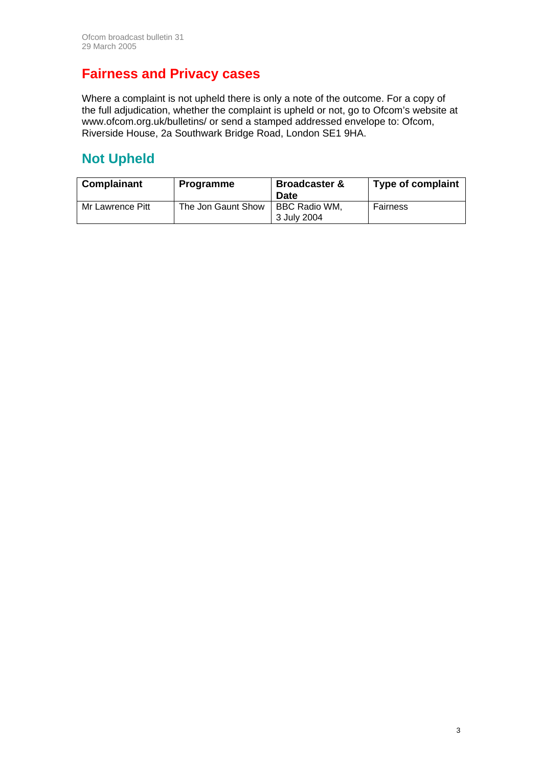#### **Fairness and Privacy cases**

Where a complaint is not upheld there is only a note of the outcome. For a copy of the full adjudication, whether the complaint is upheld or not, go to Ofcom's website at www.ofcom.org.uk/bulletins/ or send a stamped addressed envelope to: Ofcom, Riverside House, 2a Southwark Bridge Road, London SE1 9HA.

#### **Not Upheld**

| Complainant      | <b>Programme</b>   | <b>Broadcaster &amp;</b><br><b>Date</b> | <b>Type of complaint</b> |
|------------------|--------------------|-----------------------------------------|--------------------------|
| Mr Lawrence Pitt | The Jon Gaunt Show | BBC Radio WM,<br>3 July 2004            | Fairness                 |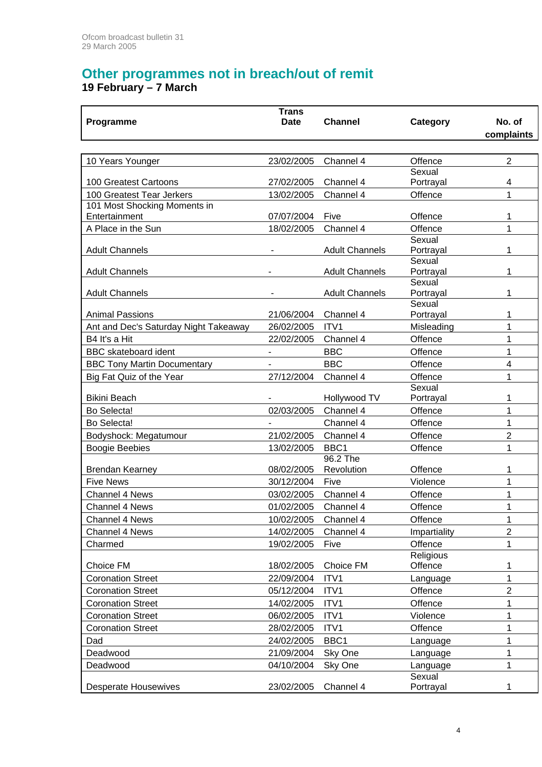### **Other programmes not in breach/out of remit**

**19 February – 7 March** 

| <b>Trans</b>                          |                          |                       |                     |                |  |
|---------------------------------------|--------------------------|-----------------------|---------------------|----------------|--|
| Programme                             | <b>Date</b>              | <b>Channel</b>        | Category            | No. of         |  |
|                                       |                          |                       |                     | complaints     |  |
|                                       |                          |                       |                     |                |  |
| 10 Years Younger                      | 23/02/2005               | Channel 4             | Offence             | $\overline{2}$ |  |
|                                       |                          |                       | Sexual              |                |  |
| 100 Greatest Cartoons                 | 27/02/2005               | Channel 4             | Portrayal           | 4              |  |
| 100 Greatest Tear Jerkers             | 13/02/2005               | Channel 4             | Offence             | 1              |  |
| 101 Most Shocking Moments in          |                          |                       |                     |                |  |
| Entertainment                         | 07/07/2004               | Five                  | Offence             | 1              |  |
| A Place in the Sun                    | 18/02/2005               | Channel 4             | Offence             | 1              |  |
|                                       |                          |                       | Sexual              |                |  |
| <b>Adult Channels</b>                 |                          | <b>Adult Channels</b> | Portrayal           | 1              |  |
| <b>Adult Channels</b>                 |                          |                       | Sexual              | 1              |  |
|                                       |                          | <b>Adult Channels</b> | Portrayal<br>Sexual |                |  |
| <b>Adult Channels</b>                 | ٠                        | <b>Adult Channels</b> | Portrayal           | 1              |  |
|                                       |                          |                       | Sexual              |                |  |
| <b>Animal Passions</b>                | 21/06/2004               | Channel 4             | Portrayal           | 1              |  |
| Ant and Dec's Saturday Night Takeaway | 26/02/2005               | ITV1                  | Misleading          | 1              |  |
| B4 It's a Hit                         | 22/02/2005               | Channel 4             | Offence             | 1              |  |
| <b>BBC</b> skateboard ident           | $\overline{\phantom{a}}$ | <b>BBC</b>            | Offence             | 1              |  |
| <b>BBC Tony Martin Documentary</b>    | $\overline{\phantom{a}}$ | <b>BBC</b>            | Offence             | 4              |  |
| Big Fat Quiz of the Year              | 27/12/2004               | Channel 4             | Offence             | 1              |  |
|                                       |                          |                       | Sexual              |                |  |
| <b>Bikini Beach</b>                   |                          | Hollywood TV          | Portrayal           | 1              |  |
| Bo Selecta!                           | 02/03/2005               | Channel 4             | Offence             | 1              |  |
| Bo Selecta!                           | ۰                        | Channel 4             | Offence             | 1              |  |
| Bodyshock: Megatumour                 | 21/02/2005               | Channel 4             | Offence             | $\overline{2}$ |  |
| <b>Boogie Beebies</b>                 | 13/02/2005               | BBC1                  | Offence             | 1              |  |
|                                       |                          | 96.2 The              |                     |                |  |
| <b>Brendan Kearney</b>                | 08/02/2005               | Revolution            | Offence             | 1              |  |
| <b>Five News</b>                      | 30/12/2004               | Five                  | Violence            | 1              |  |
| <b>Channel 4 News</b>                 | 03/02/2005               | Channel 4             | Offence             | 1              |  |
| <b>Channel 4 News</b>                 | 01/02/2005               | Channel 4             | Offence             | 1              |  |
| Channel 4 News                        | 10/02/2005               | Channel 4             | Offence             | 1              |  |
| Channel 4 News                        | 14/02/2005               | Channel 4             | Impartiality        | $\overline{2}$ |  |
| Charmed                               | 19/02/2005               | Five                  | Offence             | 1              |  |
|                                       |                          |                       | Religious           |                |  |
| Choice FM                             | 18/02/2005               | Choice FM             | Offence             | 1              |  |
| <b>Coronation Street</b>              | 22/09/2004               | ITV1                  | Language            | 1              |  |
| <b>Coronation Street</b>              | 05/12/2004               | ITV1                  | Offence             | $\overline{2}$ |  |
| <b>Coronation Street</b>              | 14/02/2005               | ITV1                  | Offence             | 1              |  |
| <b>Coronation Street</b>              | 06/02/2005               | ITV1                  | Violence            | 1              |  |
| <b>Coronation Street</b>              | 28/02/2005               | ITV1                  | Offence             | 1              |  |
| Dad                                   | 24/02/2005               | BBC1                  | Language            | 1              |  |
| Deadwood                              | 21/09/2004               | Sky One               | Language            | 1              |  |
| Deadwood                              | 04/10/2004               | Sky One               | Language            | 1              |  |
|                                       |                          |                       | Sexual              |                |  |
| <b>Desperate Housewives</b>           | 23/02/2005               | Channel 4             | Portrayal           | 1              |  |
|                                       |                          |                       |                     |                |  |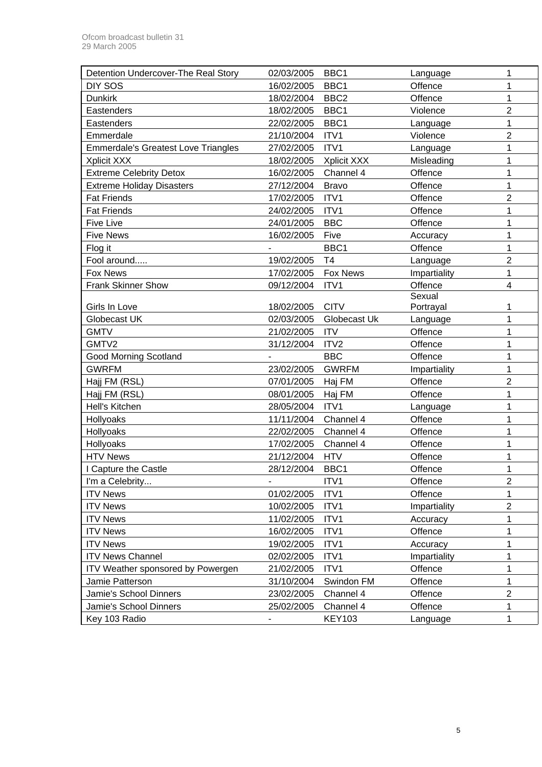| Detention Undercover-The Real Story        | 02/03/2005 | BBC <sub>1</sub> | Language     | 1              |
|--------------------------------------------|------------|------------------|--------------|----------------|
| DIY SOS                                    | 16/02/2005 | BBC1             | Offence      | 1              |
| <b>Dunkirk</b>                             | 18/02/2004 | BBC <sub>2</sub> | Offence      | 1              |
| Eastenders                                 | 18/02/2005 | BBC1             | Violence     | $\overline{2}$ |
| Eastenders                                 | 22/02/2005 | BBC1             | Language     | 1              |
| Emmerdale                                  | 21/10/2004 | ITV1             | Violence     | $\overline{2}$ |
| <b>Emmerdale's Greatest Love Triangles</b> | 27/02/2005 | ITV1             | Language     | 1              |
| Xplicit XXX                                | 18/02/2005 | Xplicit XXX      | Misleading   | 1              |
| <b>Extreme Celebrity Detox</b>             | 16/02/2005 | Channel 4        | Offence      | 1              |
| <b>Extreme Holiday Disasters</b>           | 27/12/2004 | <b>Bravo</b>     | Offence      | 1              |
| <b>Fat Friends</b>                         | 17/02/2005 | ITV1             | Offence      | $\overline{2}$ |
| <b>Fat Friends</b>                         | 24/02/2005 | ITV1             | Offence      | 1              |
| <b>Five Live</b>                           | 24/01/2005 | <b>BBC</b>       | Offence      | 1              |
| <b>Five News</b>                           | 16/02/2005 | Five             | Accuracy     | 1              |
| Flog it                                    |            | BBC1             | Offence      | 1              |
| Fool around                                | 19/02/2005 | T4               | Language     | $\overline{2}$ |
| Fox News                                   | 17/02/2005 | <b>Fox News</b>  | Impartiality | 1              |
| <b>Frank Skinner Show</b>                  | 09/12/2004 | ITV1             | Offence      | $\overline{4}$ |
|                                            |            |                  | Sexual       |                |
| Girls In Love                              | 18/02/2005 | <b>CITV</b>      | Portrayal    | 1              |
| Globecast UK                               | 02/03/2005 | Globecast Uk     | Language     | 1              |
| <b>GMTV</b>                                | 21/02/2005 | <b>ITV</b>       | Offence      | 1              |
| GMTV2                                      | 31/12/2004 | ITV2             | Offence      | 1              |
| Good Morning Scotland                      |            | <b>BBC</b>       | Offence      | 1              |
| <b>GWRFM</b>                               | 23/02/2005 | <b>GWRFM</b>     | Impartiality | 1              |
| Hajj FM (RSL)                              | 07/01/2005 | Haj FM           | Offence      | $\overline{2}$ |
| Hajj FM (RSL)                              | 08/01/2005 | Haj FM           | Offence      | 1              |
| Hell's Kitchen                             | 28/05/2004 | ITV1             | Language     | 1              |
| Hollyoaks                                  | 11/11/2004 | Channel 4        | Offence      | 1              |
| Hollyoaks                                  | 22/02/2005 | Channel 4        | Offence      | 1              |
| Hollyoaks                                  | 17/02/2005 | Channel 4        | Offence      | 1              |
| <b>HTV News</b>                            | 21/12/2004 | <b>HTV</b>       | Offence      | 1              |
| I Capture the Castle                       | 28/12/2004 | BBC1             | Offence      | 1              |
| I'm a Celebrity                            |            | ITV1             | Offence      | $\overline{2}$ |
| <b>ITV News</b>                            | 01/02/2005 | ITV1             | Offence      | 1              |
| <b>ITV News</b>                            | 10/02/2005 | ITV1             | Impartiality | $\overline{2}$ |
| <b>ITV News</b>                            | 11/02/2005 | ITV1             | Accuracy     | 1              |
| <b>ITV News</b>                            | 16/02/2005 | ITV1             | Offence      | 1              |
| <b>ITV News</b>                            | 19/02/2005 | ITV1             | Accuracy     | 1              |
| <b>ITV News Channel</b>                    | 02/02/2005 | ITV1             | Impartiality | 1              |
| ITV Weather sponsored by Powergen          | 21/02/2005 | ITV1             | Offence      | 1              |
| Jamie Patterson                            | 31/10/2004 | Swindon FM       | Offence      | 1              |
| Jamie's School Dinners                     | 23/02/2005 | Channel 4        | Offence      | $\overline{c}$ |
| Jamie's School Dinners                     |            |                  |              |                |
|                                            | 25/02/2005 | Channel 4        | Offence      | 1              |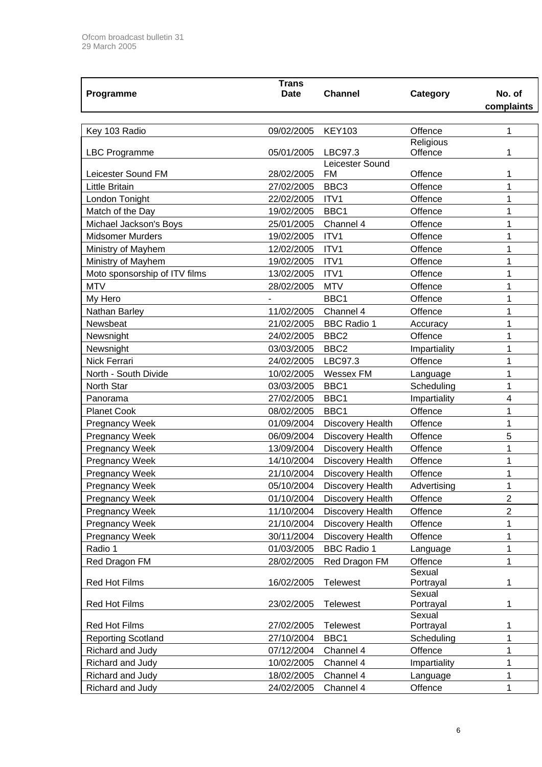|                                            | <b>Trans</b> |                              |              |                |
|--------------------------------------------|--------------|------------------------------|--------------|----------------|
| Programme                                  | <b>Date</b>  | <b>Channel</b>               | Category     | No. of         |
|                                            |              |                              |              | complaints     |
|                                            |              |                              |              |                |
| Key 103 Radio                              | 09/02/2005   | <b>KEY103</b>                | Offence      | 1              |
|                                            |              |                              | Religious    |                |
| <b>LBC Programme</b>                       | 05/01/2005   | LBC97.3                      | Offence      | 1              |
| Leicester Sound FM                         | 28/02/2005   | Leicester Sound<br><b>FM</b> | Offence      | 1              |
| <b>Little Britain</b>                      | 27/02/2005   | BBC <sub>3</sub>             | Offence      | 1              |
| London Tonight                             | 22/02/2005   | ITV1                         | Offence      | 1              |
|                                            | 19/02/2005   | BBC1                         | Offence      |                |
| Match of the Day<br>Michael Jackson's Boys | 25/01/2005   | Channel 4                    | Offence      | 1<br>1         |
|                                            |              |                              |              |                |
| <b>Midsomer Murders</b>                    | 19/02/2005   | ITV1                         | Offence      | 1              |
| Ministry of Mayhem                         | 12/02/2005   | ITV1                         | Offence      | 1              |
| Ministry of Mayhem                         | 19/02/2005   | ITV1                         | Offence      | 1              |
| Moto sponsorship of ITV films              | 13/02/2005   | ITV1                         | Offence      | 1              |
| <b>MTV</b>                                 | 28/02/2005   | <b>MTV</b>                   | Offence      | 1              |
| My Hero                                    |              | BBC1                         | Offence      | 1              |
| Nathan Barley                              | 11/02/2005   | Channel 4                    | Offence      | 1              |
| Newsbeat                                   | 21/02/2005   | <b>BBC Radio 1</b>           | Accuracy     | 1              |
| Newsnight                                  | 24/02/2005   | BBC <sub>2</sub>             | Offence      | 1              |
| Newsnight                                  | 03/03/2005   | BBC <sub>2</sub>             | Impartiality | 1              |
| Nick Ferrari                               | 24/02/2005   | LBC97.3                      | Offence      | 1              |
| North - South Divide                       | 10/02/2005   | Wessex FM                    | Language     | 1              |
| North Star                                 | 03/03/2005   | BBC1                         | Scheduling   | 1              |
| Panorama                                   | 27/02/2005   | BBC1                         | Impartiality | 4              |
| <b>Planet Cook</b>                         | 08/02/2005   | BBC1                         | Offence      | 1              |
| <b>Pregnancy Week</b>                      | 01/09/2004   | Discovery Health             | Offence      | 1              |
| <b>Pregnancy Week</b>                      | 06/09/2004   | <b>Discovery Health</b>      | Offence      | 5              |
| <b>Pregnancy Week</b>                      | 13/09/2004   | Discovery Health             | Offence      | 1              |
| Pregnancy Week                             | 14/10/2004   | <b>Discovery Health</b>      | Offence      | 1              |
| <b>Pregnancy Week</b>                      | 21/10/2004   | Discovery Health             | Offence      | 1              |
| <b>Pregnancy Week</b>                      | 05/10/2004   | Discovery Health             | Advertising  | 1              |
| <b>Pregnancy Week</b>                      | 01/10/2004   | Discovery Health             | Offence      | $\overline{2}$ |
| <b>Pregnancy Week</b>                      | 11/10/2004   | <b>Discovery Health</b>      | Offence      | $\overline{2}$ |
| Pregnancy Week                             | 21/10/2004   | Discovery Health             | Offence      |                |
| <b>Pregnancy Week</b>                      | 30/11/2004   | <b>Discovery Health</b>      | Offence      | 1              |
| Radio 1                                    | 01/03/2005   | <b>BBC Radio 1</b>           | Language     | 1              |
| Red Dragon FM                              | 28/02/2005   | Red Dragon FM                | Offence      | 1              |
|                                            |              |                              | Sexual       |                |
| <b>Red Hot Films</b>                       | 16/02/2005   | <b>Telewest</b>              | Portrayal    | 1              |
|                                            |              |                              | Sexual       |                |
| <b>Red Hot Films</b>                       | 23/02/2005   | <b>Telewest</b>              | Portrayal    | 1              |
|                                            |              |                              | Sexual       |                |
| Red Hot Films                              | 27/02/2005   | <b>Telewest</b>              | Portrayal    | 1              |
| <b>Reporting Scotland</b>                  | 27/10/2004   | BBC1                         | Scheduling   | 1              |
| Richard and Judy                           | 07/12/2004   | Channel 4                    | Offence      | 1              |
| Richard and Judy                           | 10/02/2005   | Channel 4                    | Impartiality | 1              |
| Richard and Judy                           | 18/02/2005   | Channel 4                    | Language     | 1              |
| Richard and Judy                           | 24/02/2005   | Channel 4                    | Offence      | 1              |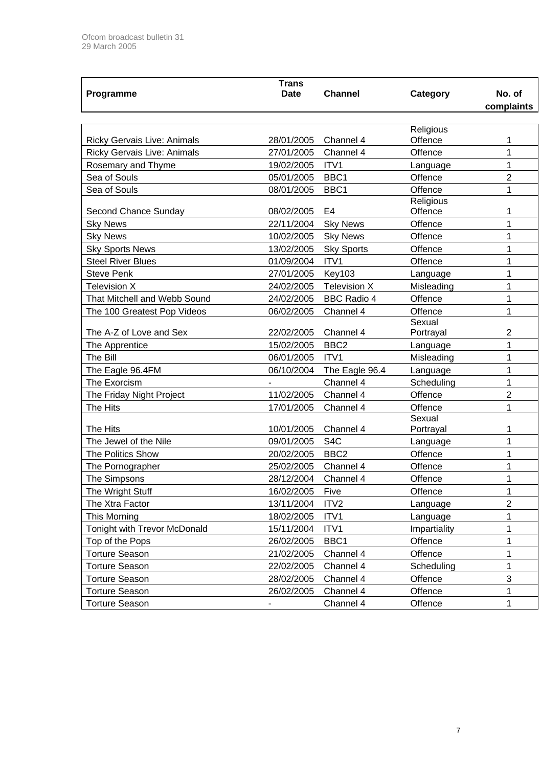| <b>Trans</b>                       |             |                     |                      |                |  |
|------------------------------------|-------------|---------------------|----------------------|----------------|--|
| Programme                          | <b>Date</b> | <b>Channel</b>      | Category             | No. of         |  |
|                                    |             |                     |                      | complaints     |  |
|                                    |             |                     |                      |                |  |
|                                    |             |                     | Religious            |                |  |
| Ricky Gervais Live: Animals        | 28/01/2005  | Channel 4           | Offence              | 1              |  |
| <b>Ricky Gervais Live: Animals</b> | 27/01/2005  | Channel 4           | Offence              | 1              |  |
| Rosemary and Thyme                 | 19/02/2005  | ITV1                | Language             | $\mathbf{1}$   |  |
| Sea of Souls                       | 05/01/2005  | BBC1                | Offence              | $\overline{2}$ |  |
| Sea of Souls                       | 08/01/2005  | BBC1                | Offence              | 1              |  |
| Second Chance Sunday               | 08/02/2005  | E <sub>4</sub>      | Religious<br>Offence | 1              |  |
| <b>Sky News</b>                    | 22/11/2004  | <b>Sky News</b>     | Offence              | 1              |  |
| <b>Sky News</b>                    | 10/02/2005  | <b>Sky News</b>     | Offence              | 1              |  |
| <b>Sky Sports News</b>             | 13/02/2005  | <b>Sky Sports</b>   | Offence              | 1              |  |
| <b>Steel River Blues</b>           | 01/09/2004  | ITV1                | Offence              | 1              |  |
| <b>Steve Penk</b>                  | 27/01/2005  | <b>Key103</b>       | Language             | 1              |  |
| <b>Television X</b>                | 24/02/2005  | <b>Television X</b> | Misleading           | 1              |  |
| That Mitchell and Webb Sound       | 24/02/2005  | <b>BBC Radio 4</b>  | Offence              | 1              |  |
|                                    |             | Channel 4           | Offence              | $\mathbf{1}$   |  |
| The 100 Greatest Pop Videos        | 06/02/2005  |                     | Sexual               |                |  |
| The A-Z of Love and Sex            | 22/02/2005  | Channel 4           | Portrayal            | 2              |  |
| The Apprentice                     | 15/02/2005  | BBC <sub>2</sub>    | Language             | 1              |  |
| The Bill                           | 06/01/2005  | ITV1                | Misleading           | 1              |  |
| The Eagle 96.4FM                   | 06/10/2004  | The Eagle 96.4      | Language             | 1              |  |
| The Exorcism                       |             | Channel 4           | Scheduling           | $\mathbf{1}$   |  |
| The Friday Night Project           | 11/02/2005  | Channel 4           | Offence              | $\overline{2}$ |  |
| The Hits                           | 17/01/2005  | Channel 4           | Offence              | 1              |  |
|                                    |             |                     | Sexual               |                |  |
| The Hits                           | 10/01/2005  | Channel 4           | Portrayal            | 1              |  |
| The Jewel of the Nile              | 09/01/2005  | S <sub>4</sub> C    | Language             | 1              |  |
| <b>The Politics Show</b>           | 20/02/2005  | BBC <sub>2</sub>    | Offence              | 1              |  |
| The Pornographer                   | 25/02/2005  | Channel 4           | Offence              | 1              |  |
| The Simpsons                       | 28/12/2004  | Channel 4           | Offence              | 1              |  |
| The Wright Stuff                   | 16/02/2005  | Five                | Offence              | 1              |  |
| The Xtra Factor                    | 13/11/2004  | ITV <sub>2</sub>    | Language             | $\overline{c}$ |  |
| This Morning                       | 18/02/2005  | ITV1                | Language             | 1              |  |
| Tonight with Trevor McDonald       | 15/11/2004  | ITV1                | Impartiality         | 1              |  |
| Top of the Pops                    | 26/02/2005  | BBC1                | Offence              | 1              |  |
| <b>Torture Season</b>              | 21/02/2005  | Channel 4           | Offence              | 1              |  |
| <b>Torture Season</b>              | 22/02/2005  | Channel 4           | Scheduling           | 1              |  |
| <b>Torture Season</b>              | 28/02/2005  | Channel 4           | Offence              | $\sqrt{3}$     |  |
| <b>Torture Season</b>              | 26/02/2005  | Channel 4           | Offence              | 1              |  |
| <b>Torture Season</b>              |             | Channel 4           | Offence              | 1              |  |